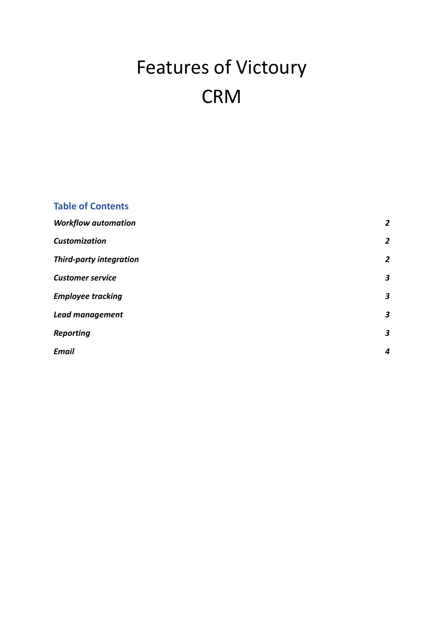# Features of Victoury CRM

| <b>Table of Contents</b>       |                |
|--------------------------------|----------------|
| <b>Workflow automation</b>     | $\overline{2}$ |
| <b>Customization</b>           | $\overline{2}$ |
| <b>Third-party integration</b> | $\overline{2}$ |
| <b>Customer service</b>        | 3              |
| <b>Employee tracking</b>       | 3              |
| Lead management                | 3              |
| <b>Reporting</b>               | 3              |
| <b>Email</b>                   | 4              |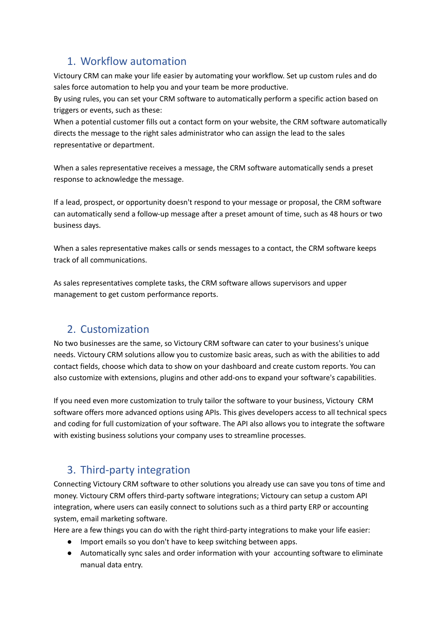## <span id="page-1-0"></span>1. Workflow automation

Victoury CRM can make your life easier by automating your workflow. Set up custom rules and do sales force automation to help you and your team be more productive.

By using rules, you can set your CRM software to automatically perform a specific action based on triggers or events, such as these:

When a potential customer fills out a contact form on your website, the CRM software automatically directs the message to the right sales administrator who can assign the lead to the sales representative or department.

When a sales representative receives a message, the CRM software automatically sends a preset response to acknowledge the message.

If a lead, prospect, or opportunity doesn't respond to your message or proposal, the CRM software can automatically send a follow-up message after a preset amount of time, such as 48 hours or two business days.

When a sales representative makes calls or sends messages to a contact, the CRM software keeps track of all communications.

As sales representatives complete tasks, the CRM software allows supervisors and upper management to get custom performance reports.

## <span id="page-1-1"></span>2. Customization

No two businesses are the same, so Victoury CRM software can cater to your business's unique needs. Victoury CRM solutions allow you to customize basic areas, such as with the abilities to add contact fields, choose which data to show on your dashboard and create custom reports. You can also customize with extensions, plugins and other add-ons to expand your software's capabilities.

If you need even more customization to truly tailor the software to your business, Victoury CRM software offers more advanced options using APIs. This gives developers access to all technical specs and coding for full customization of your software. The API also allows you to integrate the software with existing business solutions your company uses to streamline processes.

# <span id="page-1-2"></span>3. Third-party integration

Connecting Victoury CRM software to other solutions you already use can save you tons of time and money. Victoury CRM offers third-party software integrations; Victoury can setup a custom API integration, where users can easily connect to solutions such as a third party ERP or accounting system, email marketing software.

Here are a few things you can do with the right third-party integrations to make your life easier:

- Import emails so you don't have to keep switching between apps.
- Automatically sync sales and order information with your accounting software to eliminate manual data entry.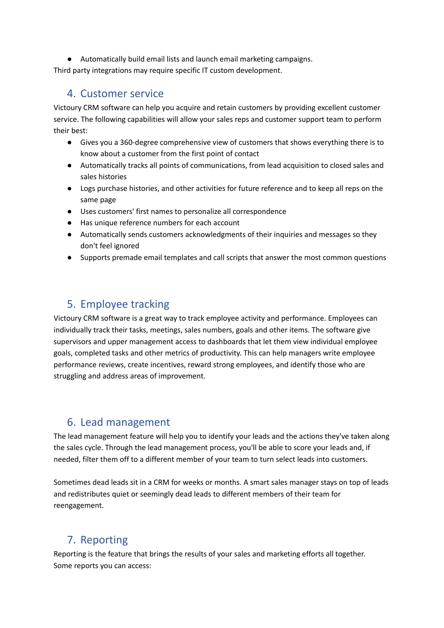● Automatically build email lists and launch email marketing campaigns.

<span id="page-2-0"></span>Third party integrations may require specific IT custom development.

#### 4. Customer service

Victoury CRM software can help you acquire and retain customers by providing excellent customer service. The following capabilities will allow your sales reps and customer support team to perform their best:

- Gives you a 360-degree comprehensive view of customers that shows everything there is to know about a customer from the first point of contact
- Automatically tracks all points of communications, from lead acquisition to closed sales and sales histories
- Logs purchase histories, and other activities for future reference and to keep all reps on the same page
- Uses customers' first names to personalize all correspondence
- Has unique reference numbers for each account
- Automatically sends customers acknowledgments of their inquiries and messages so they don't feel ignored
- Supports premade email templates and call scripts that answer the most common questions

# <span id="page-2-1"></span>5. Employee tracking

Victoury CRM software is a great way to track employee activity and performance. Employees can individually track their tasks, meetings, sales numbers, goals and other items. The software give supervisors and upper management access to dashboards that let them view individual employee goals, completed tasks and other metrics of productivity. This can help managers write employee performance reviews, create incentives, reward strong employees, and identify those who are struggling and address areas of improvement.

## <span id="page-2-2"></span>6. Lead management

The lead management feature will help you to identify your leads and the actions they've taken along the sales cycle. Through the lead management process, you'll be able to score your leads and, if needed, filter them off to a different member of your team to turn select leads into customers.

Sometimes dead leads sit in a CRM for weeks or months. A smart sales manager stays on top of leads and redistributes quiet or seemingly dead leads to different members of their team for reengagement.

# <span id="page-2-3"></span>7. Reporting

Reporting is the feature that brings the results of your sales and marketing efforts all together. Some reports you can access: